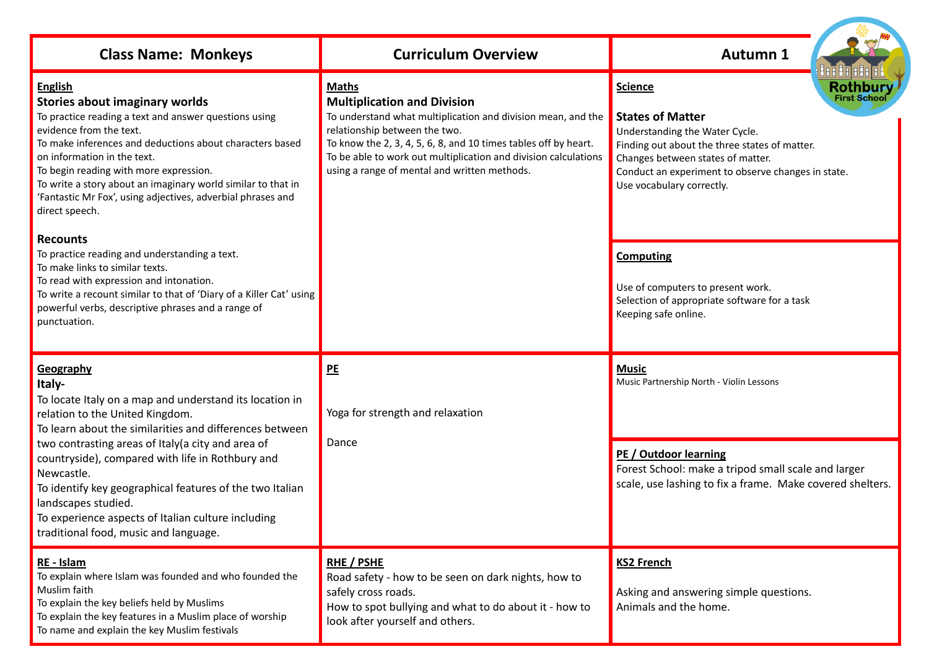| <b>Class Name: Monkeys</b>                                                                                                                                                                                                                                                                                                                                                                                                                                                             | <b>Curriculum Overview</b>                                                                                                                                                                                                                                                                                                                | <b>Autumn 1</b>                                                                                                                                                                                                                                                                                              |
|----------------------------------------------------------------------------------------------------------------------------------------------------------------------------------------------------------------------------------------------------------------------------------------------------------------------------------------------------------------------------------------------------------------------------------------------------------------------------------------|-------------------------------------------------------------------------------------------------------------------------------------------------------------------------------------------------------------------------------------------------------------------------------------------------------------------------------------------|--------------------------------------------------------------------------------------------------------------------------------------------------------------------------------------------------------------------------------------------------------------------------------------------------------------|
| <b>English</b><br><b>Stories about imaginary worlds</b><br>To practice reading a text and answer questions using<br>evidence from the text.<br>To make inferences and deductions about characters based<br>on information in the text.<br>To begin reading with more expression.<br>To write a story about an imaginary world similar to that in<br>'Fantastic Mr Fox', using adjectives, adverbial phrases and<br>direct speech.                                                      | <b>Maths</b><br><b>Multiplication and Division</b><br>To understand what multiplication and division mean, and the<br>relationship between the two.<br>To know the 2, 3, 4, 5, 6, 8, and 10 times tables off by heart.<br>To be able to work out multiplication and division calculations<br>using a range of mental and written methods. | 8888888888<br><b>Rothbury</b><br><b>Science</b><br><b>First School</b><br><b>States of Matter</b><br>Understanding the Water Cycle.<br>Finding out about the three states of matter.<br>Changes between states of matter.<br>Conduct an experiment to observe changes in state.<br>Use vocabulary correctly. |
| <b>Recounts</b><br>To practice reading and understanding a text.<br>To make links to similar texts.<br>To read with expression and intonation.<br>To write a recount similar to that of 'Diary of a Killer Cat' using<br>powerful verbs, descriptive phrases and a range of<br>punctuation.                                                                                                                                                                                            |                                                                                                                                                                                                                                                                                                                                           | <b>Computing</b><br>Use of computers to present work.<br>Selection of appropriate software for a task<br>Keeping safe online.                                                                                                                                                                                |
| Geography<br>Italy-<br>To locate Italy on a map and understand its location in<br>relation to the United Kingdom.<br>To learn about the similarities and differences between<br>two contrasting areas of Italy (a city and area of<br>countryside), compared with life in Rothbury and<br>Newcastle.<br>To identify key geographical features of the two Italian<br>landscapes studied.<br>To experience aspects of Italian culture including<br>traditional food, music and language. | PE<br>Yoga for strength and relaxation<br>Dance                                                                                                                                                                                                                                                                                           | <b>Music</b><br>Music Partnership North - Violin Lessons<br>PE / Outdoor learning<br>Forest School: make a tripod small scale and larger<br>scale, use lashing to fix a frame. Make covered shelters.                                                                                                        |
| RE - Islam<br>To explain where Islam was founded and who founded the<br>Muslim faith<br>To explain the key beliefs held by Muslims<br>To explain the key features in a Muslim place of worship<br>To name and explain the key Muslim festivals                                                                                                                                                                                                                                         | <b>RHE / PSHE</b><br>Road safety - how to be seen on dark nights, how to<br>safely cross roads.<br>How to spot bullying and what to do about it - how to<br>look after yourself and others.                                                                                                                                               | <b>KS2 French</b><br>Asking and answering simple questions.<br>Animals and the home.                                                                                                                                                                                                                         |